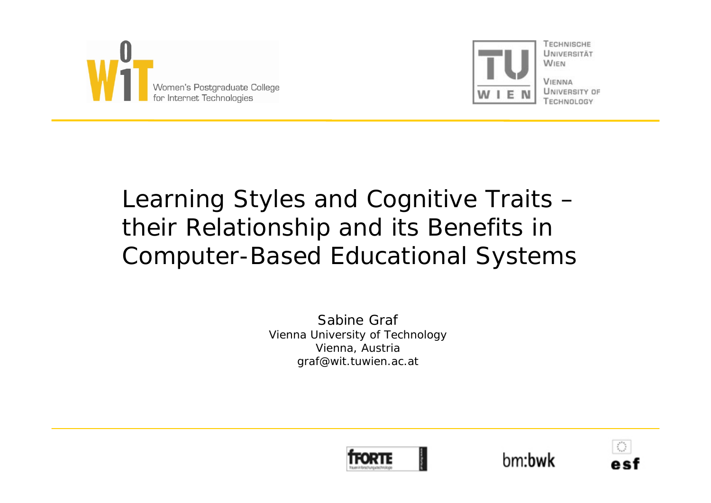



**UNIVERSITÄT WIEN VIENNA** 

UNIVERSITY OF TECHNOLOGY

# Learning Styles and Cognitive Traits – their Relationship and its Benefits in Computer-Based Educational Systems

Sabine GrafVienna University of Technology Vienna, Austria graf@wit.tuwien.ac.at





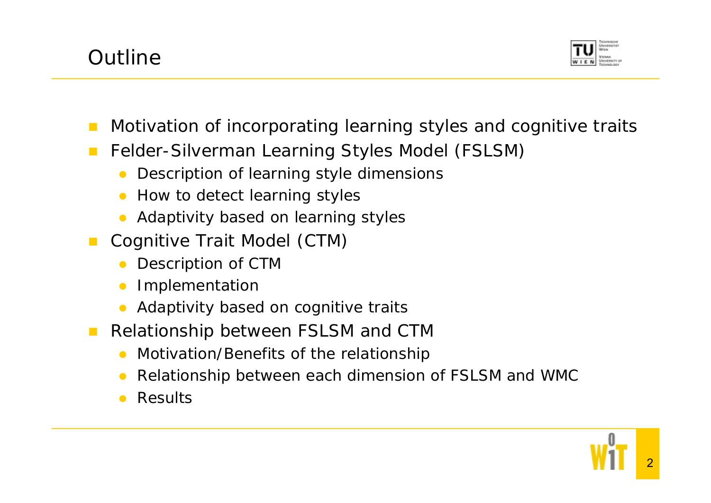



- Motivation of incorporating learning styles and cognitive traits
- $\mathcal{L}^{\mathcal{L}}$  Felder-Silverman Learning Styles Model (FSLSM)
	- $\bullet$ Description of learning style dimensions
	- O How to detect learning styles
	- $\bullet$ Adaptivity based on learning styles
- $\mathbb{R}^n$  Cognitive Trait Model (CTM)
	- $\bullet$ Description of CTM
	- O Implementation
	- $\bullet$ Adaptivity based on cognitive traits
- $\mathcal{L}^{\text{max}}$  Relationship between FSLSM and CTM
	- $\bullet$ Motivation/Benefits of the relationship
	- $\bullet$ Relationship between each dimension of FSLSM and WMC
	- $\bullet$ Results

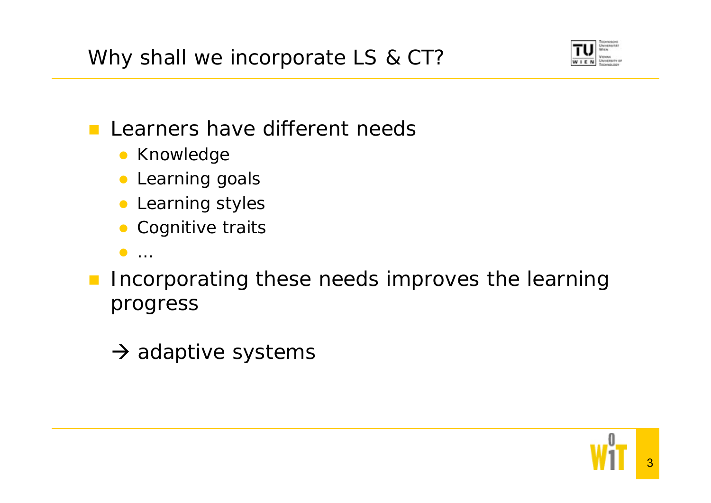Why shall we incorporate LS & CT?



- $\mathcal{L}(\mathcal{A})$  Learners have different needs
	- **Knowledge**
	- **Learning goals**
	- **Learning styles**
	- **Cognitive traits**
	- $\bullet$  …
- **Incorporating these needs improves the learning** progress
	- $\rightarrow$  adaptive systems

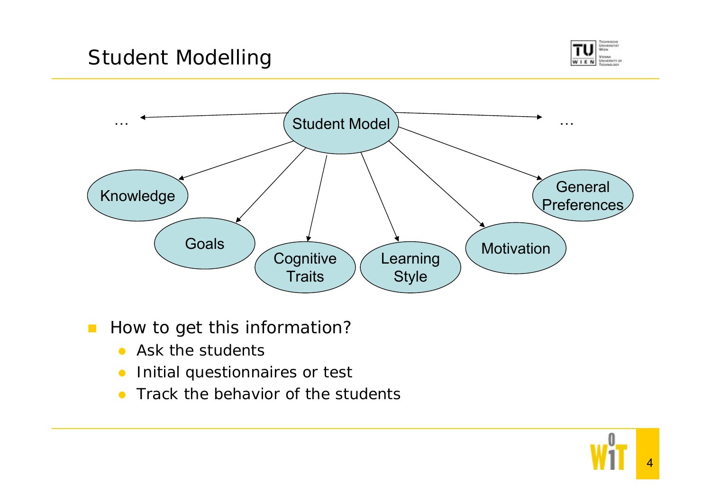# Student Modelling





#### $\mathcal{L}_{\mathcal{A}}$ How to get this information?

- $\bullet$  Ask the students
- $\bullet$ Initial questionnaires or test
- $\bullet$ Track the behavior of the students

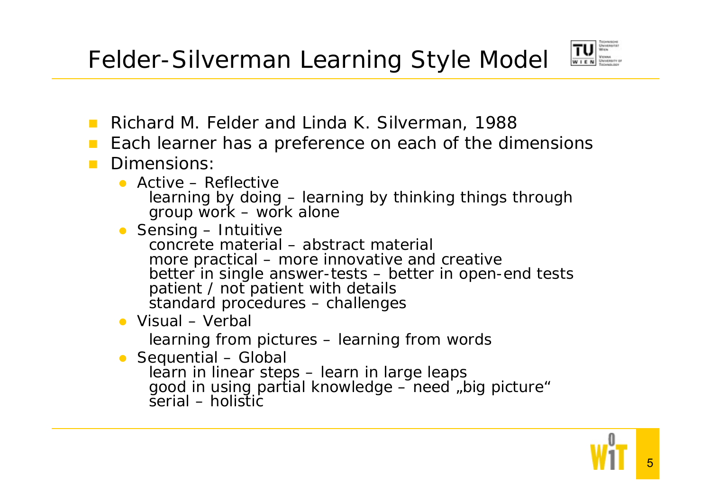

- Richard M. Felder and Linda K. Silverman, 1988
- **Contract** Each learner has a preference on each of the dimensions
- $\mathcal{L}(\mathcal{A})$  Dimensions:
	- Active Reflective learning by doing – learning by thinking things through group work – work alone
	- **•** Sensing Intuitive concrete material – abstract material more practical – more innovative and creative better in single answer-tests – better in open-end tests patient / not patient with details standard procedures – challenges
	- Visual Verbal

learning from pictures – learning from words

• Sequential – Global learn in linear steps - learn in large leaps good in using partial knowledge  $-$  need  $\mu$  big picture" serial – holistic

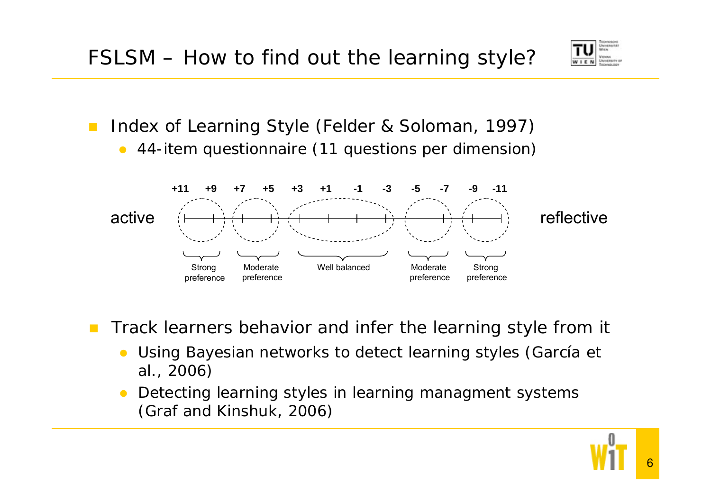

- $\mathcal{L}_{\mathcal{A}}$  Index of Learning Style (Felder & Soloman, 1997)
	- $\bullet$ 44-item questionnaire (11 questions per dimension)



- $\mathcal{L}^{\mathcal{A}}$  Track learners behavior and infer the learning style from it
	- $\bullet$  Using Bayesian networks to detect learning styles (García et al., 2006)
	- $\bullet$  Detecting learning styles in learning managment systems (Graf and Kinshuk, 2006)

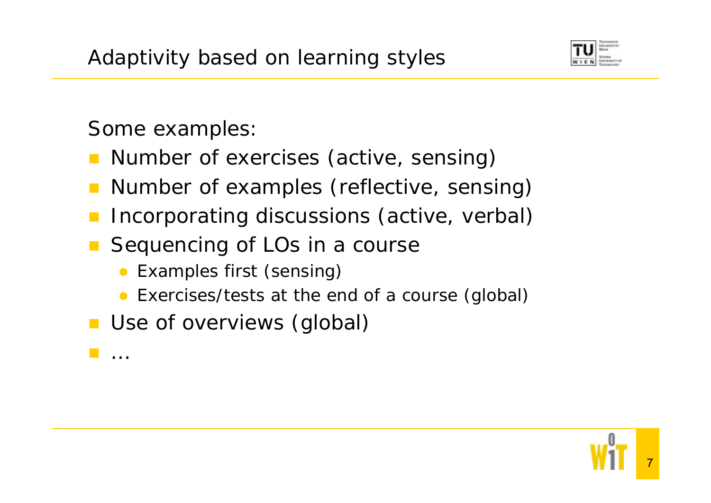

Some examples:

…

- **Number of exercises (active, sensing)**
- Number of examples (reflective, sensing)
- Incorporating discussions (active, verbal)
- Sequencing of LOs in a course
	- $\bullet$ Examples first (sensing)
	- Exercises/tests at the end of a course (global)
- **Use of overviews (global)**

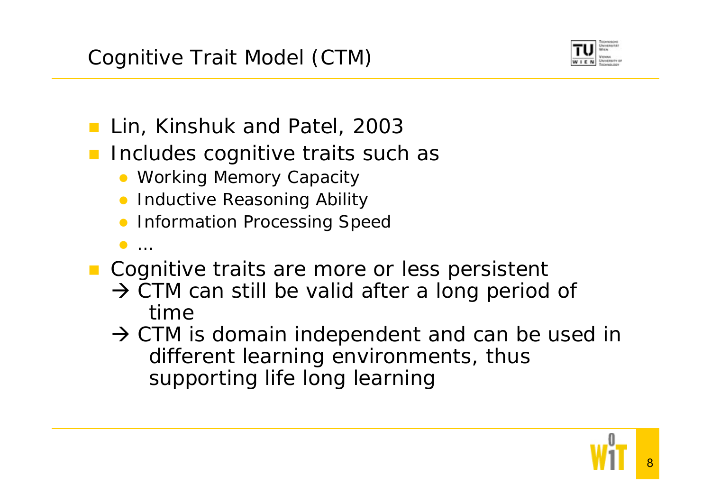

- **Lin, Kinshuk and Patel, 2003**
- **Includes cognitive traits such as** 
	- Working Memory Capacity
	- **Inductive Reasoning Ability**
	- **Information Processing Speed**
	- $\bullet$ …
- **Cognitive traits are more or less persistent** 
	- $\rightarrow$  CTM can still be valid after a long period of time
	- $\rightarrow$  CTM is domain independent and can be used in different learning environments, thus supporting life long learning

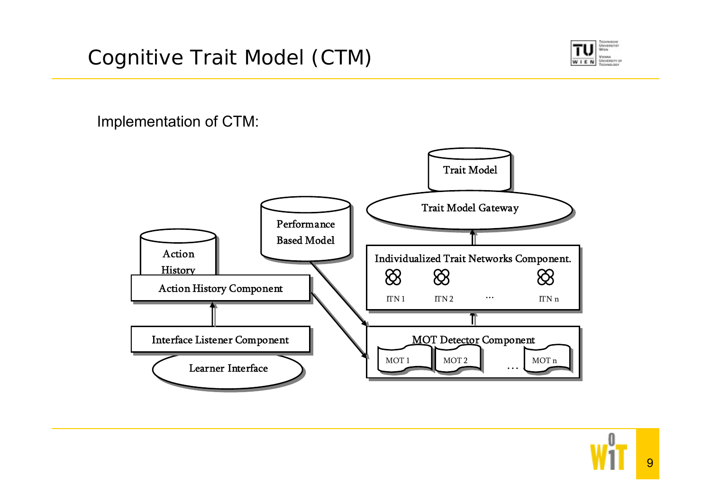

Implementation of CTM:

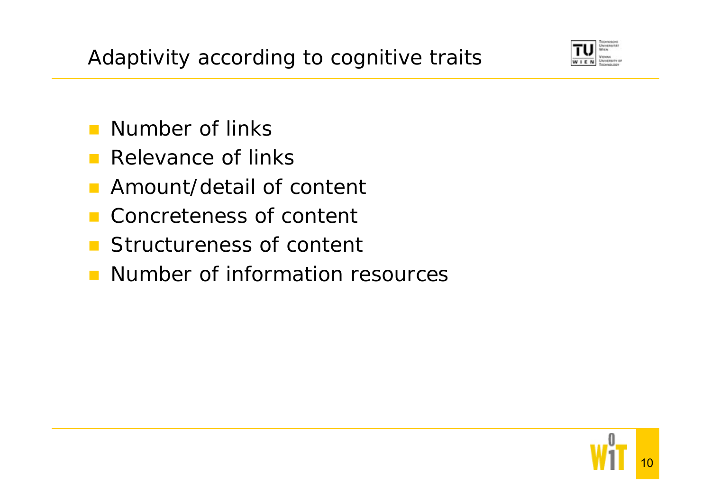Adaptivity according to cognitive traits



- **Number of links**
- **Relevance of links**
- **Amount/detail of content**
- Concreteness of content
- **Structureness of content**
- **Number of information resources**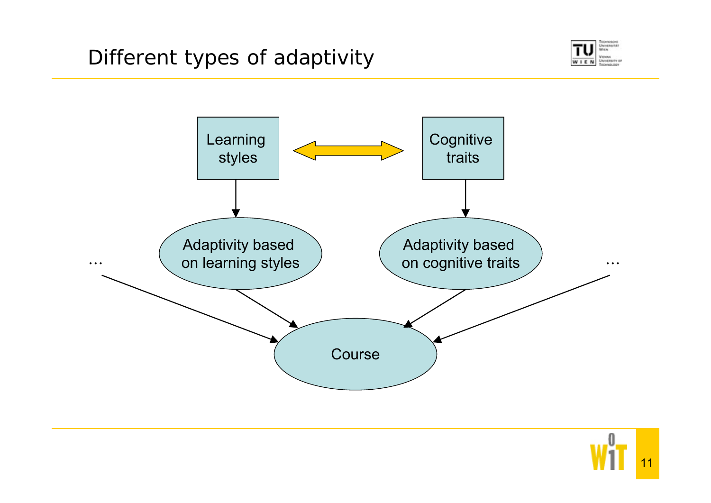



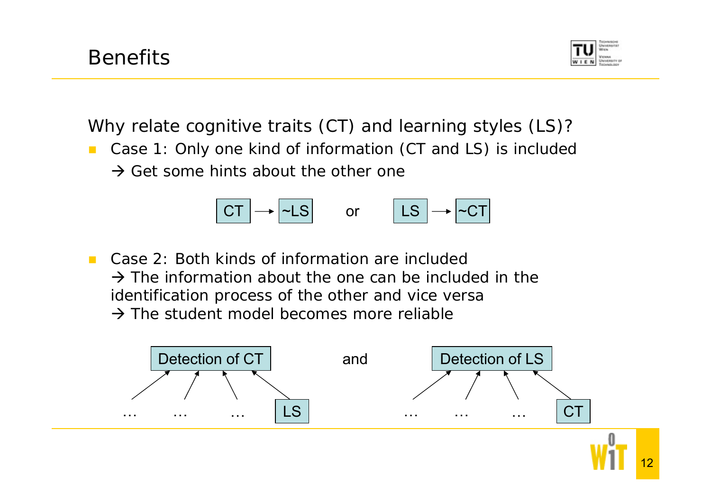

Why relate cognitive traits (CT) and learning styles (LS)?

- **Case 1: Only one kind of information (CT and LS) is included** 
	- $\rightarrow$  Get some hints about the other one



■ Case 2: Both kinds of information are included  $\rightarrow$  The information about the one can be included in the identification process of the other and vice versa  $\rightarrow$  The student model becomes more reliable

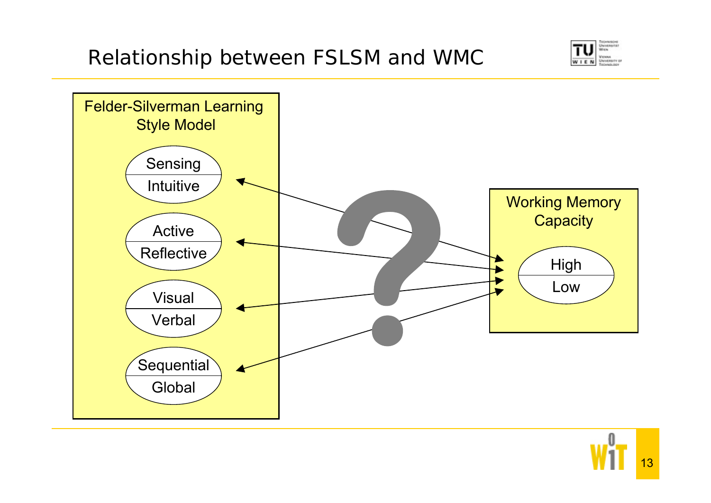# Relationship between FSLSM and WMC



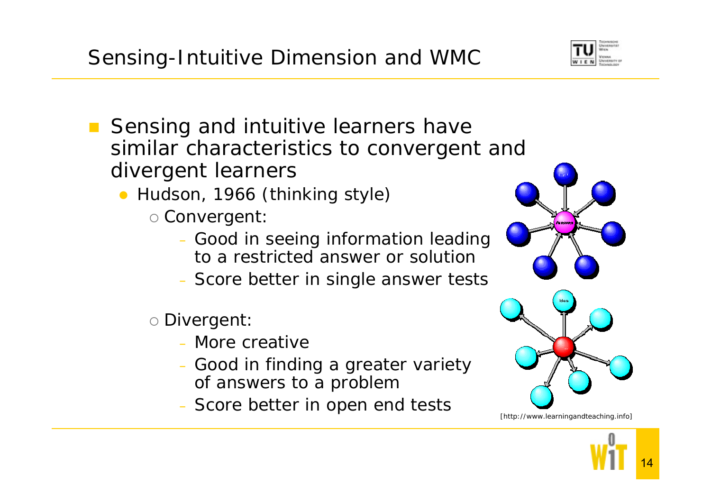# Sensing-Intuitive Dimension and WMC

- Sensing and intuitive learners have similar characteristics to convergent and divergent learners
	- Hudson, 1966 (thinking style)
		- ${\circ}$  Convergent:
			- Good in seeing information leading to a restricted answer or solution
			- Score better in single answer tests
		- ${\circ}$  Divergent:
			- More creative
			- Good in finding a greater variety of answers to a problem
			- Score better in open end tests [http://www.learningandteaching.info]



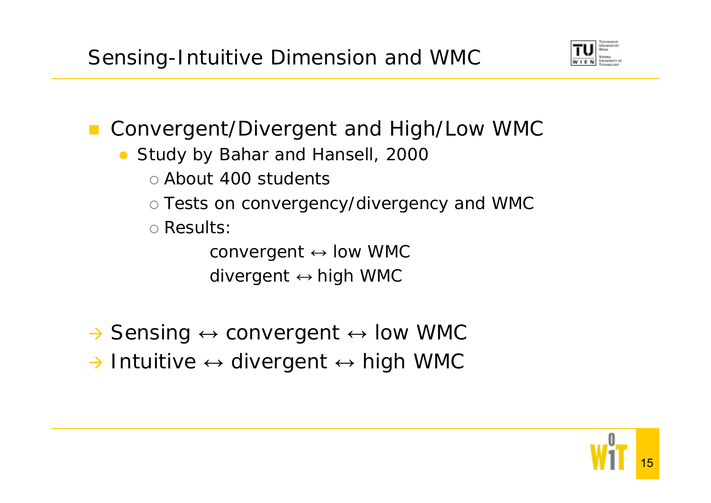

- Convergent/Divergent and High/Low WMC
	- Study by Bahar and Hansell, 2000
		- o About 400 students
		- $\circ$  Tests on convergency/divergency and WMC
		- ${\circ}$  Results:

convergent ↔ low WMC divergent ↔ high WMC

- → Sensing  $\leftrightarrow$  convergent  $\leftrightarrow$  low WMC
- $\rightarrow$  Intuitive  $\leftrightarrow$  divergent  $\leftrightarrow$  high WMC

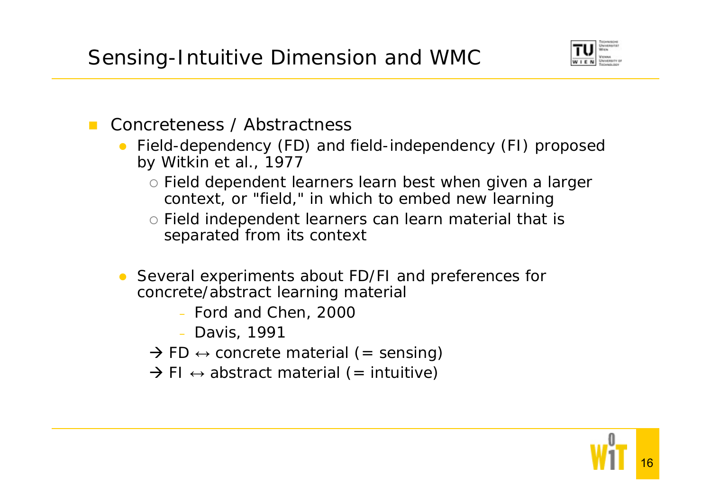Sensing-Intuitive Dimension and WMC



- $\mathcal{L}^{\mathcal{L}}$  Concreteness / Abstractness
	- Field-dependency (FD) and field-independency (FI) proposed by Witkin et al., 1977
		- o Field dependent learners learn best when given a larger context, or "field," in which to embed new learning
		- o Field independent learners can learn material that is separated from its context
	- $\bullet$  Several experiments about FD/FI and preferences for concrete/abstract learning material
		- Ford and Chen, 2000
		- Davis, 1991
		- $\rightarrow$  FD  $\leftrightarrow$  concrete material (= sensing)
		- $\rightarrow$  FI  $\leftrightarrow$  abstract material (= intuitive)

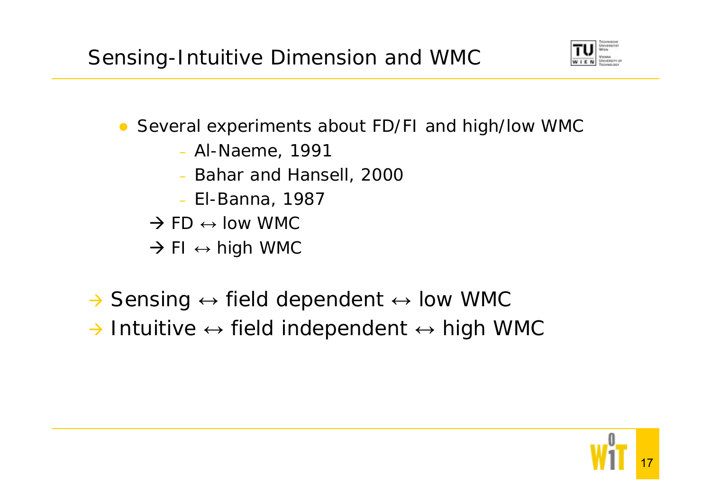Sensing-Intuitive Dimension and WMC



- Several experiments about FD/FI and high/low WMC
	- Al-Naeme, 1991
	- Bahar and Hansell, 2000
	- El-Banna, 1987
	- $\rightarrow$  FD  $\leftrightarrow$  low WMC
	- $\rightarrow$  FI  $\leftrightarrow$  high WMC
- $\rightarrow$  Sensing  $\leftrightarrow$  field dependent  $\leftrightarrow$  low WMC
- $\rightarrow$  Intuitive  $\leftrightarrow$  field independent  $\leftrightarrow$  high WMC

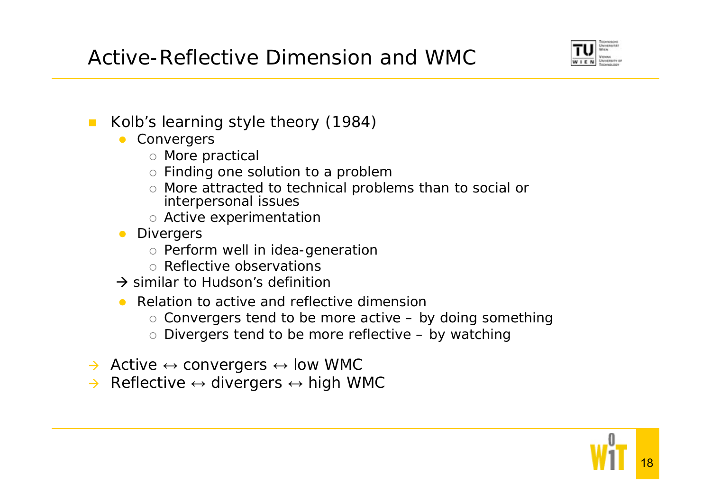Active-Reflective Dimension and WMC



- $\mathcal{L}_{\mathcal{A}}$  Kolb's learning style theory (1984)
	- **•** Convergers
		- $\circ$  More practical
		- $\circ$  Finding one solution to a problem
		- $\circ$  More attracted to technical problems than to social or interpersonal issues
		- $\circ\,$  Active experimentatior
	- **•** Divergers
		- $\circ$  Perform well in idea-generation
		- o Reflective observations
	- $\rightarrow$  similar to Hudson's definition
	- $\bullet$  Relation to active and reflective dimension
		- $\circ$  Convergers tend to be more active by doing something
		- $\circ$  Divergers tend to be more reflective by watching
- $\rightarrow$  Active  $\leftrightarrow$  convergers  $\leftrightarrow$  low WMC
- $\rightarrow$  $\rightarrow$  Reflective  $\leftrightarrow$  divergers  $\leftrightarrow$  high WMC

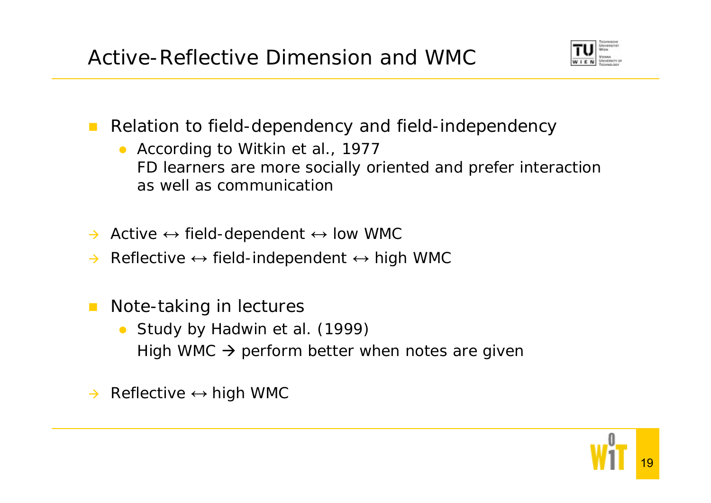Active-Reflective Dimension and WMC



- $\mathcal{L}_{\mathcal{A}}$  Relation to field-dependency and field-independency
	- According to Witkin et al., 1977 FD learners are more socially oriented and prefer interaction as well as communication
- $\rightarrow$  Active  $\leftrightarrow$  field-dependent  $\leftrightarrow$  low WMC
- $\rightarrow$  Reflective  $\leftrightarrow$  field-independent  $\leftrightarrow$  high WMC
- $\mathcal{L}^{\text{max}}$  Note-taking in lectures
	- $\bullet$  Study by Hadwin et al. (1999) High WMC  $\rightarrow$  perform better when notes are giver
- $\rightarrow$  Reflective  $\leftrightarrow$  high WMC

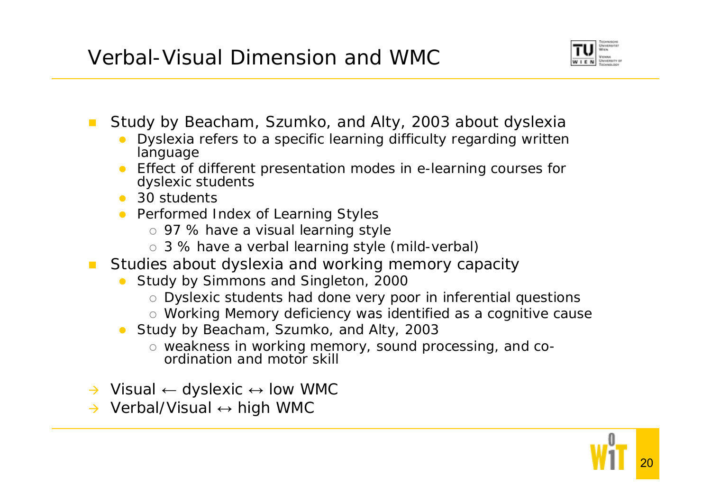#### Verbal-Visual Dimension and WMC



- $\mathcal{L}_{\mathcal{A}}$  Study by Beacham, Szumko, and Alty, 2003 about dyslexia
	- $\bullet$  Dyslexia refers to a specific learning difficulty regarding written language
	- Effect of different presentation modes in e-learning courses for dyslexic students
	- $\bullet$  30 students
	- **•** Performed Index of Learning Styles
		- $\, \circ \,$  97 % have a visual learning style
		- o 3 % have a verbal learning style (mild-verbal)
- $\mathcal{L}^{\text{max}}$  Studies about dyslexia and working memory capacity
	- Study by Simmons and Singleton, 2000
		- $\circ$  Dyslexic students had done very poor in inferential questions
		- $\circ$  Working Memory deficiency was identified as a cognitive cause
	- $\bullet$  Study by Beacham, Szumko, and Alty, 2003
		- { weakness in working memory, sound processing, and coordination and motor skill
- → Visual ← dyslexic ↔ low WMC
- → Verbal/Visual ↔ high WMC

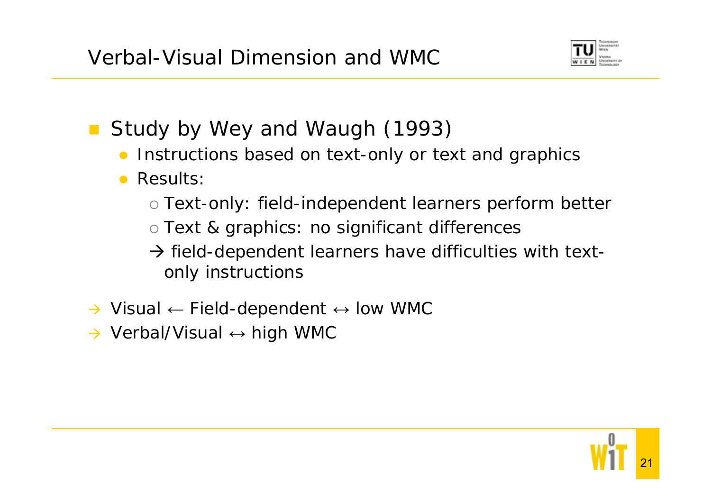Verbal-Visual Dimension and WMC



- **Study by Wey and Waugh (1993)** 
	- $\bullet$ Instructions based on text-only or text and graphics
	- $\bullet$  Results:
		- { Text-only: field-independent learners perform better
		- $\circ$  Text & graphics: no significant differences

 $\rightarrow$  field-dependent learners have difficulties with textonly instructions

- $\rightarrow$  Visual  $\leftarrow$  Field-dependent  $\leftrightarrow$  low WMC
- → Verbal/Visual ↔ high WMC

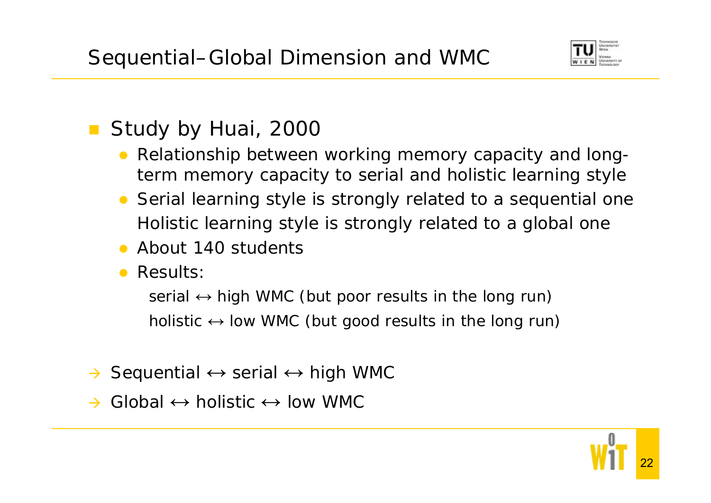

# **Study by Huai, 2000**

- $\bullet$  Relationship between working memory capacity and longterm memory capacity to serial and holistic learning style
- Serial learning style is strongly related to a sequential one Holistic learning style is strongly related to a global one
- About 140 students
- **Results:**

serial ↔ high WMC (but poor results in the long run) holistic  $\leftrightarrow$  low WMC (but good results in the long run)

- $\rightarrow$ → Sequential ↔ serial ↔ high WMC
- $\rightarrow$ → Global ↔ holistic ↔ low WMC

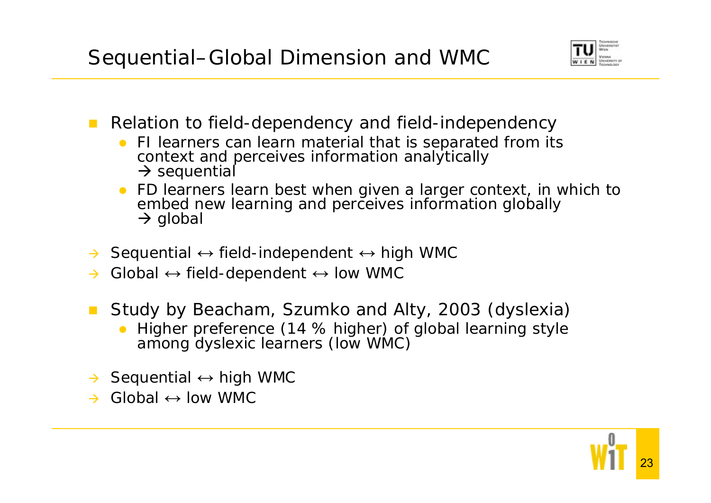Sequential–Global Dimension and WMC



- **Relation to field-dependency and field-independency** 
	- FI learners can learn material that is separated from its context and perceives information analytically  $\rightarrow$  sequential
	- $\bullet$  FD learners learn best when given a larger context, in which to embed new learning and perceives information globally  $\rightarrow$  global
- $\rightarrow$  $\rightarrow$  Sequential  $\leftrightarrow$  field-independent  $\leftrightarrow$  high WMC
- $\rightarrow$  $\rightarrow$  Global  $\leftrightarrow$  field-dependent  $\leftrightarrow$  low WMC
- **Study by Beacham, Szumko and Alty, 2003 (dyslexia)** 
	- $\bullet$ Higher preference (14 % higher) of global learning style among dyslexic learners (low WMC)
- $\rightarrow$  Sequential  $\leftrightarrow$  high WMC
- $\rightarrow$  $\rightarrow$  Global  $\leftrightarrow$  low WMC

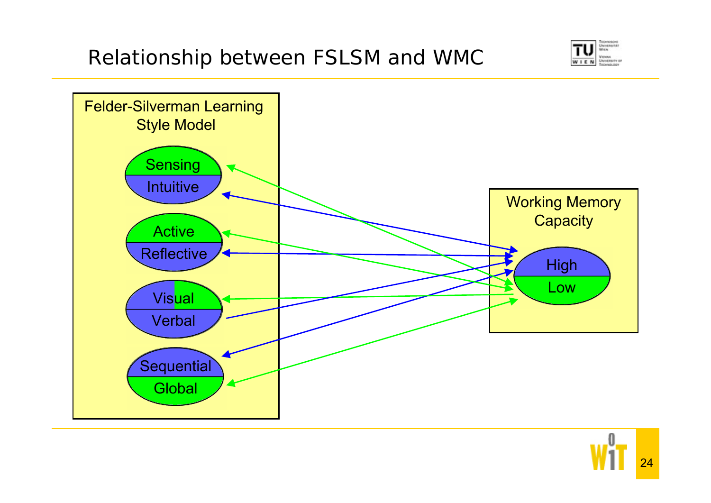# Relationship between FSLSM and WMC